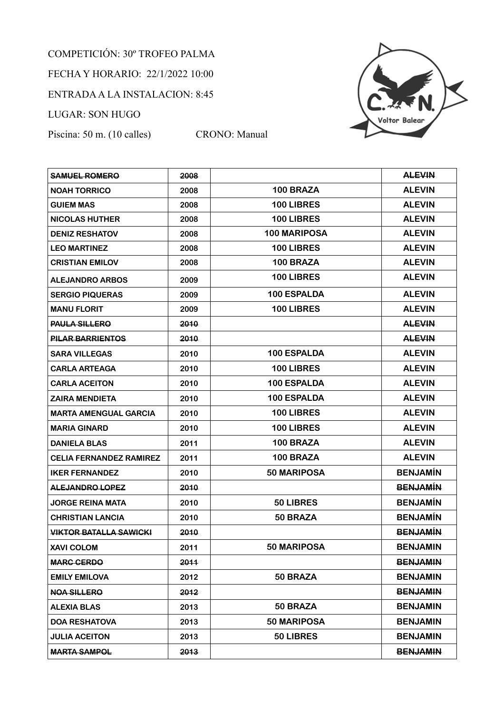## COMPETICIÓN: 30º TROFEO PALMA FECHA Y HORARIO: 22/1/2022 10:00 ENTRADA A LA INSTALACION: 8:45 LUGAR: SON HUGO

Piscina: 50 m. (10 calles) CRONO: Manual



| <b>SAMUEL ROMERO</b>           | 2008 |                     | <b>ALEVIN</b>   |
|--------------------------------|------|---------------------|-----------------|
| <b>NOAH TORRICO</b>            | 2008 | 100 BRAZA           | <b>ALEVIN</b>   |
| <b>GUIEM MAS</b>               | 2008 | 100 LIBRES          | <b>ALEVIN</b>   |
| <b>NICOLAS HUTHER</b>          | 2008 | 100 LIBRES          | <b>ALEVIN</b>   |
| <b>DENIZ RESHATOV</b>          | 2008 | <b>100 MARIPOSA</b> | <b>ALEVIN</b>   |
| <b>LEO MARTINEZ</b>            | 2008 | 100 LIBRES          | <b>ALEVIN</b>   |
| <b>CRISTIAN EMILOV</b>         | 2008 | 100 BRAZA           | <b>ALEVIN</b>   |
| <b>ALEJANDRO ARBOS</b>         | 2009 | 100 LIBRES          | <b>ALEVIN</b>   |
| <b>SERGIO PIQUERAS</b>         | 2009 | <b>100 ESPALDA</b>  | <b>ALEVIN</b>   |
| <b>MANU FLORIT</b>             | 2009 | 100 LIBRES          | <b>ALEVIN</b>   |
| <b>PAULA SILLERO</b>           | 2010 |                     | <b>ALEVIN</b>   |
| <b>PILAR BARRIENTOS</b>        | 2010 |                     | <b>ALEVIN</b>   |
| <b>SARA VILLEGAS</b>           | 2010 | 100 ESPALDA         | <b>ALEVIN</b>   |
| <b>CARLA ARTEAGA</b>           | 2010 | 100 LIBRES          | <b>ALEVIN</b>   |
| <b>CARLA ACEITON</b>           | 2010 | 100 ESPALDA         | <b>ALEVIN</b>   |
| <b>ZAIRA MENDIETA</b>          | 2010 | 100 ESPALDA         | <b>ALEVIN</b>   |
| <b>MARTA AMENGUAL GARCIA</b>   | 2010 | 100 LIBRES          | <b>ALEVIN</b>   |
| <b>MARIA GINARD</b>            | 2010 | 100 LIBRES          | <b>ALEVIN</b>   |
| <b>DANIELA BLAS</b>            | 2011 | 100 BRAZA           | <b>ALEVIN</b>   |
| <b>CELIA FERNANDEZ RAMIREZ</b> | 2011 | 100 BRAZA           | <b>ALEVIN</b>   |
| <b>IKER FERNANDEZ</b>          | 2010 | 50 MARIPOSA         | <b>BENJAMÍN</b> |
| <b>ALEJANDRO LOPEZ</b>         | 2010 |                     | <b>BENJAMÍN</b> |
| <b>JORGE REINA MATA</b>        | 2010 | 50 LIBRES           | <b>BENJAMÍN</b> |
| <b>CHRISTIAN LANCIA</b>        | 2010 | 50 BRAZA            | <b>BENJAMÍN</b> |
| <b>VIKTOR BATALLA SAWICKI</b>  | 2010 |                     | <b>BENJAMIN</b> |
| <b>XAVI COLOM</b>              | 2011 | 50 MARIPOSA         | <b>BENJAMIN</b> |
| <b>MARC CERDO</b>              | 2011 |                     | <b>BENJAMIN</b> |
| <b>EMILY EMILOVA</b>           | 2012 | 50 BRAZA            | <b>BENJAMIN</b> |
| <b>NOA SILLERO</b>             | 2012 |                     | <b>BENJAMIN</b> |
| <b>ALEXIA BLAS</b>             | 2013 | 50 BRAZA            | <b>BENJAMIN</b> |
| <b>DOA RESHATOVA</b>           | 2013 | 50 MARIPOSA         | <b>BENJAMIN</b> |
| <b>JULIA ACEITON</b>           | 2013 | 50 LIBRES           | <b>BENJAMIN</b> |
| <b>MARTA SAMPOL</b>            | 2013 |                     | <b>BENJAMIN</b> |